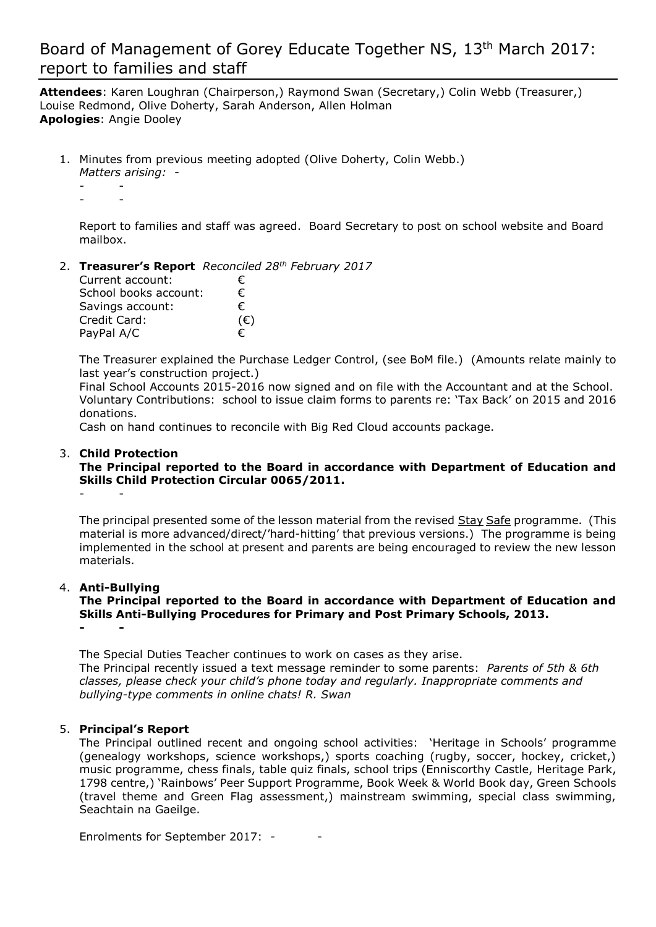## Board of Management of Gorey Educate Together NS, 13<sup>th</sup> March 2017: report to families and staff

**Attendees**: Karen Loughran (Chairperson,) Raymond Swan (Secretary,) Colin Webb (Treasurer,) Louise Redmond, Olive Doherty, Sarah Anderson, Allen Holman **Apologies**: Angie Dooley

1. Minutes from previous meeting adopted (Olive Doherty, Colin Webb.)

*Matters arising:* - - -

- -

Report to families and staff was agreed. Board Secretary to post on school website and Board mailbox.

2. **Treasurer's Report** *Reconciled 28th February 2017*

| Current account:      | €            |
|-----------------------|--------------|
| School books account: | €            |
| Savings account:      | €            |
| Credit Card:          | $(\epsilon)$ |
| PayPal A/C            | €            |

The Treasurer explained the Purchase Ledger Control, (see BoM file.) (Amounts relate mainly to last year's construction project.)

Final School Accounts 2015-2016 now signed and on file with the Accountant and at the School. Voluntary Contributions: school to issue claim forms to parents re: 'Tax Back' on 2015 and 2016 donations.

Cash on hand continues to reconcile with Big Red Cloud accounts package.

### 3. **Child Protection**

#### **The Principal reported to the Board in accordance with Department of Education and Skills Child Protection Circular 0065/2011.** - -

The principal presented some of the lesson material from the revised Stay Safe programme. (This material is more advanced/direct/'hard-hitting' that previous versions.) The programme is being implemented in the school at present and parents are being encouraged to review the new lesson materials.

### 4. **Anti-Bullying**

**The Principal reported to the Board in accordance with Department of Education and Skills Anti-Bullying Procedures for Primary and Post Primary Schools, 2013. - -**

The Special Duties Teacher continues to work on cases as they arise. The Principal recently issued a text message reminder to some parents: *Parents of 5th & 6th classes, please check your child's phone today and regularly. Inappropriate comments and bullying-type comments in online chats! R. Swan*

### 5. **Principal's Report**

The Principal outlined recent and ongoing school activities: 'Heritage in Schools' programme (genealogy workshops, science workshops,) sports coaching (rugby, soccer, hockey, cricket,) music programme, chess finals, table quiz finals, school trips (Enniscorthy Castle, Heritage Park, 1798 centre,) 'Rainbows' Peer Support Programme, Book Week & World Book day, Green Schools (travel theme and Green Flag assessment,) mainstream swimming, special class swimming, Seachtain na Gaeilge.

Enrolments for September 2017: - -